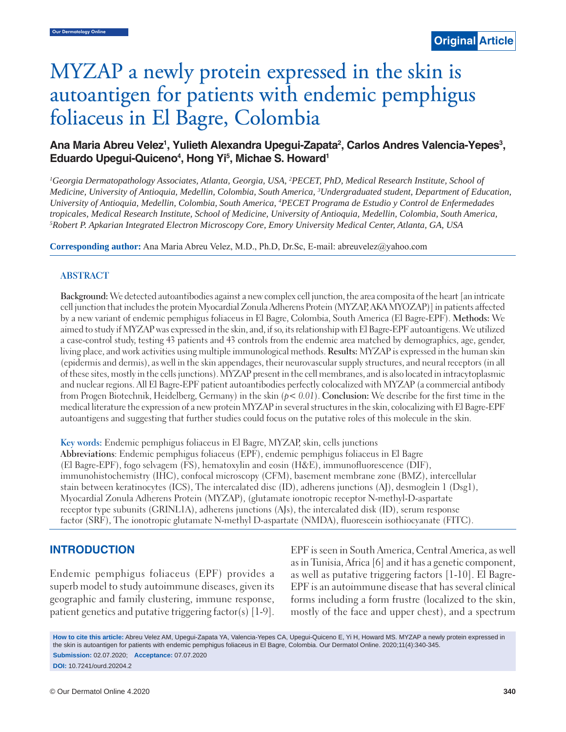# MYZAP a newly protein expressed in the skin is autoantigen for patients with endemic pemphigus foliaceus in El Bagre, Colombia

# Ana Maria Abreu Velez<sup>1</sup>, Yulieth Alexandra Upegui-Zapata<sup>2</sup>, Carlos Andres Valencia-Yepes<sup>3</sup>, Eduardo Upegui-Quiceno<sup>4</sup>, Hong Yi<sup>5</sup>, Michae S. Howard<sup>1</sup>

<sup>1</sup>Georgia Dermatopathology Associates, Atlanta, Georgia, USA, <sup>2</sup>PECET, PhD, Medical Research Institute, School of *Medicine, University of Antioquia, Medellin, Colombia, South America, 3 Undergraduated student, Department of Education, University of Antioquia, Medellin, Colombia, South America, 4 PECET Programa de Estudio y Control de Enfermedades tropicales, Medical Research Institute, School of Medicine, University of Antioquia, Medellin, Colombia, South America, 5 Robert P. Apkarian Integrated Electron Microscopy Core, Emory University Medical Center, Atlanta, GA, USA*

**Corresponding author:** Ana Maria Abreu Velez, M.D., Ph.D, Dr.Sc, E-mail: abreuvelez@yahoo.com

#### **ABSTRACT**

**Background:** We detected autoantibodies against a new complex cell junction, the area composita of the heart [an intricate cell junction that includes the protein Myocardial Zonula Adherens Protein (MYZAP, AKA MYOZAP)] in patients affected by a new variant of endemic pemphigus foliaceus in El Bagre, Colombia, South America (El Bagre-EPF). **Methods:** We aimed to study if MYZAP was expressed in the skin, and, if so, its relationship with El Bagre-EPF autoantigens. We utilized a case-control study, testing 43 patients and 43 controls from the endemic area matched by demographics, age, gender, living place, and work activities using multiple immunological methods. **Results:** MYZAP is expressed in the human skin (epidermis and dermis), as well in the skin appendages, their neurovascular supply structures, and neural receptors (in all of these sites, mostly in the cells junctions). MYZAP present in the cell membranes, and is also located in intracytoplasmic and nuclear regions. All El Bagre-EPF patient autoantibodies perfectly colocalized with MYZAP (a commercial antibody from Progen Biotechnik, Heidelberg, Germany) in the skin (*p< 0.01*). **Conclusion:** We describe for the first time in the medical literature the expression of a new protein MYZAP in several structures in the skin, colocalizing with El Bagre-EPF autoantigens and suggesting that further studies could focus on the putative roles of this molecule in the skin.

**Key words:** Endemic pemphigus foliaceus in El Bagre, MYZAP, skin, cells junctions **Abbreviations**: Endemic pemphigus foliaceus (EPF), endemic pemphigus foliaceus in El Bagre (El Bagre-EPF), fogo selvagem (FS), hematoxylin and eosin (H&E), immunofluorescence (DIF), immunohistochemistry (IHC), confocal microscopy (CFM), basement membrane zone (BMZ), intercellular stain between keratinocytes (ICS), The intercalated disc (ID), adherens junctions (AJ), desmoglein 1 (Dsg1), Myocardial Zonula Adherens Protein (MYZAP), (glutamate ionotropic receptor N-methyl-D-aspartate receptor type subunits (GRINL1A), adherens junctions (AJs), the intercalated disk (ID), serum response factor (SRF), The ionotropic glutamate N-methyl D-aspartate (NMDA), fluorescein isothiocyanate (FITC).

## **INTRODUCTION**

Endemic pemphigus foliaceus (EPF) provides a superb model to study autoimmune diseases, given its geographic and family clustering, immune response, patient genetics and putative triggering factor(s) [1-9]. EPF is seen in South America, Central America, as well as in Tunisia, Africa [6] and it has a genetic component, as well as putative triggering factors [1-10]. El Bagre-EPF is an autoimmune disease that has several clinical forms including a form frustre (localized to the skin, mostly of the face and upper chest), and a spectrum

**How to cite this article:** Abreu Velez AM, Upegui-Zapata YA, Valencia-Yepes CA, Upegui-Quiceno E, Yi H, Howard MS. MYZAP a newly protein expressed in the skin is autoantigen for patients with endemic pemphigus foliaceus in El Bagre, Colombia. Our Dermatol Online. 2020;11(4):340-345. **Submission:** 02.07.2020; **Acceptance:** 07.07.2020

**DOI:** 10.7241/ourd.20204.2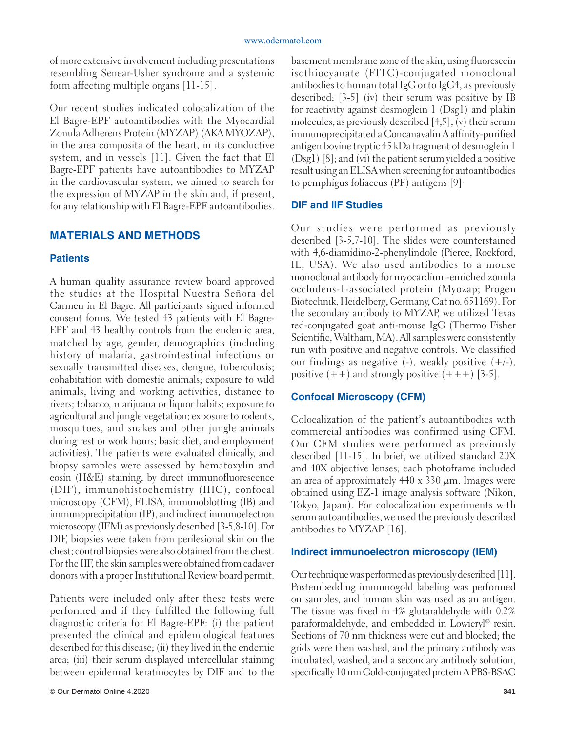of more extensive involvement including presentations resembling Senear-Usher syndrome and a systemic form affecting multiple organs [11-15].

Our recent studies indicated colocalization of the El Bagre-EPF autoantibodies with the Myocardial Zonula Adherens Protein (MYZAP) (AKA MYOZAP), in the area composita of the heart, in its conductive system, and in vessels [11]. Given the fact that El Bagre-EPF patients have autoantibodies to MYZAP in the cardiovascular system, we aimed to search for the expression of MYZAP in the skin and, if present, for any relationship with El Bagre-EPF autoantibodies.

# **MATERIALS AND METHODS**

# **Patients**

A human quality assurance review board approved the studies at the Hospital Nuestra Señora del Carmen in El Bagre. All participants signed informed consent forms. We tested 43 patients with El Bagre-EPF and 43 healthy controls from the endemic area, matched by age, gender, demographics (including history of malaria, gastrointestinal infections or sexually transmitted diseases, dengue, tuberculosis; cohabitation with domestic animals; exposure to wild animals, living and working activities, distance to rivers; tobacco, marijuana or liquor habits; exposure to agricultural and jungle vegetation; exposure to rodents, mosquitoes, and snakes and other jungle animals during rest or work hours; basic diet, and employment activities). The patients were evaluated clinically, and biopsy samples were assessed by hematoxylin and eosin (H&E) staining, by direct immunofluorescence (DIF), immunohistochemistry (IHC), confocal microscopy (CFM), ELISA, immunoblotting (IB) and immunoprecipitation (IP), and indirect inmunoelectron microscopy (IEM) as previously described [3-5,8-10]. For DIF, biopsies were taken from perilesional skin on the chest; control biopsies were also obtained from the chest. For the IIF, the skin samples were obtained from cadaver donors with a proper Institutional Review board permit.

Patients were included only after these tests were performed and if they fulfilled the following full diagnostic criteria for El Bagre-EPF: (i) the patient presented the clinical and epidemiological features described for this disease; (ii) they lived in the endemic area; (iii) their serum displayed intercellular staining between epidermal keratinocytes by DIF and to the

basement membrane zone of the skin, using fluorescein isothiocyanate (FITC)-conjugated monoclonal antibodies to human total IgG or to IgG4, as previously described; [3-5] (iv) their serum was positive by IB for reactivity against desmoglein 1 (Dsg1) and plakin molecules, as previously described [4,5], (v) their serum immunoprecipitated a Concanavalin A affinity-purified antigen bovine tryptic 45 kDa fragment of desmoglein 1 (Dsg1) [8]; and (vi) the patient serum yielded a positive result using an ELISA when screening for autoantibodies to pemphigus foliaceus (PF) antigens [9].

# **DIF and IIF Studies**

Our studies were performed as previously described [3-5,7-10]. The slides were counterstained with 4,6-diamidino-2-phenylindole (Pierce, Rockford, IL, USA). We also used antibodies to a mouse monoclonal antibody for myocardium-enriched zonula occludens-1-associated protein (Myozap; Progen Biotechnik, Heidelberg, Germany, Cat no. 651169). For the secondary antibody to MYZAP, we utilized Texas red-conjugated goat anti-mouse IgG (Thermo Fisher Scientific, Waltham, MA). All samples were consistently run with positive and negative controls. We classified our findings as negative  $(-)$ , weakly positive  $(+/-)$ , positive  $(++)$  and strongly positive  $(+++)$  [3-5].

# **Confocal Microscopy (CFM)**

Colocalization of the patient's autoantibodies with commercial antibodies was confirmed using CFM. Our CFM studies were performed as previously described [11-15]. In brief, we utilized standard 20X and 40X objective lenses; each photoframe included an area of approximately  $440 \times 330 \mu m$ . Images were obtained using EZ-1 image analysis software (Nikon, Tokyo, Japan). For colocalization experiments with serum autoantibodies, we used the previously described antibodies to MYZAP [16].

#### **Indirect immunoelectron microscopy (IEM)**

Our technique was performed as previously described [11]. Postembedding immunogold labeling was performed on samples, and human skin was used as an antigen. The tissue was fixed in 4% glutaraldehyde with 0.2% paraformaldehyde, and embedded in Lowicryl® resin. Sections of 70 nm thickness were cut and blocked; the grids were then washed, and the primary antibody was incubated, washed, and a secondary antibody solution, specifically 10 nm Gold-conjugated protein A PBS-BSAC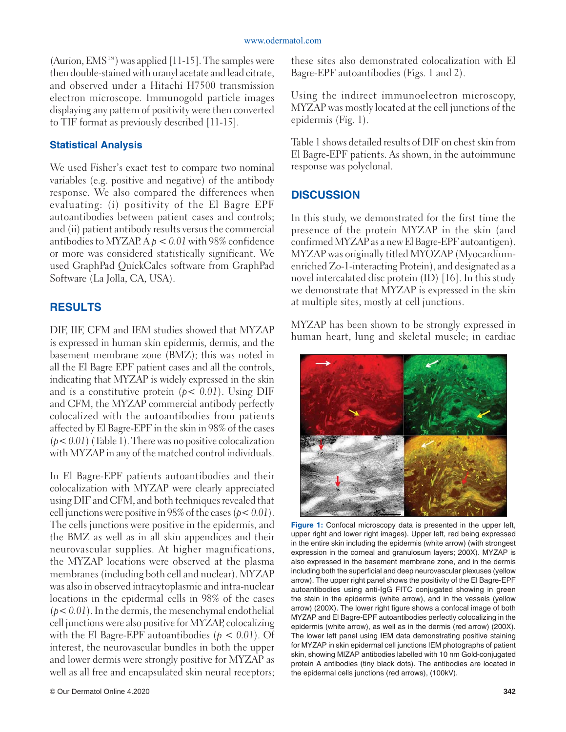$(Aurion, EMS<sup>TM</sup>)$  was applied [11-15]. The samples were then double-stained with uranyl acetate and lead citrate, and observed under a Hitachi H7500 transmission electron microscope. Immunogold particle images displaying any pattern of positivity were then converted to TIF format as previously described [11-15].

# **Statistical Analysis**

We used Fisher's exact test to compare two nominal variables (e.g. positive and negative) of the antibody response. We also compared the differences when evaluating: (i) positivity of the El Bagre EPF autoantibodies between patient cases and controls; and (ii) patient antibody results versus the commercial antibodies to MYZAP.  $A \rho < 0.01$  with 98% confidence or more was considered statistically significant. We used GraphPad QuickCalcs software from GraphPad Software (La Jolla, CA, USA).

# **RESULTS**

DIF, IIF, CFM and IEM studies showed that MYZAP is expressed in human skin epidermis, dermis, and the basement membrane zone (BMZ); this was noted in all the El Bagre EPF patient cases and all the controls, indicating that MYZAP is widely expressed in the skin and is a constitutive protein (*p< 0.01*). Using DIF and CFM, the MYZAP commercial antibody perfectly colocalized with the autoantibodies from patients affected by El Bagre-EPF in the skin in 98% of the cases (*p< 0.01*) (Table 1). There was no positive colocalization with MYZAP in any of the matched control individuals.

In El Bagre-EPF patients autoantibodies and their colocalization with MYZAP were clearly appreciated using DIF and CFM, and both techniques revealed that cell junctions were positive in 98% of the cases (*p< 0.01*). The cells junctions were positive in the epidermis, and the BMZ as well as in all skin appendices and their neurovascular supplies. At higher magnifications, the MYZAP locations were observed at the plasma membranes (including both cell and nuclear). MYZAP was also in observed intracytoplasmic and intra-nuclear locations in the epidermal cells in 98% of the cases  $(p<0.01)$ . In the dermis, the mesenchymal endothelial cell junctions were also positive for MYZAP, colocalizing with the El Bagre-EPF autoantibodies (*p < 0.01*). Of interest, the neurovascular bundles in both the upper and lower dermis were strongly positive for MYZAP as well as all free and encapsulated skin neural receptors; these sites also demonstrated colocalization with El Bagre-EPF autoantibodies (Figs. 1 and 2).

Using the indirect immunoelectron microscopy, MYZAP was mostly located at the cell junctions of the epidermis (Fig. 1).

Table 1 shows detailed results of DIF on chest skin from El Bagre-EPF patients. As shown, in the autoimmune response was polyclonal.

# **DISCUSSION**

In this study, we demonstrated for the first time the presence of the protein MYZAP in the skin (and confirmed MYZAP as a new El Bagre-EPF autoantigen). MYZAP was originally titled MYOZAP (Myocardiumenriched Zo-1-interacting Protein), and designated as a novel intercalated disc protein (ID) [16]. In this study we demonstrate that MYZAP is expressed in the skin at multiple sites, mostly at cell junctions.

MYZAP has been shown to be strongly expressed in human heart, lung and skeletal muscle; in cardiac



Figure 1: Confocal microscopy data is presented in the upper left, upper right and lower right images). Upper left, red being expressed in the entire skin including the epidermis (white arrow) (with strongest expression in the corneal and granulosum layers; 200X). MYZAP is also expressed in the basement membrane zone, and in the dermis including both the superficial and deep neurovascular plexuses (yellow arrow). The upper right panel shows the positivity of the El Bagre-EPF autoantibodies using anti-IgG FITC conjugated showing in green the stain in the epidermis (white arrow), and in the vessels (yellow arrow) (200X). The lower right figure shows a confocal image of both MYZAP and El Bagre-EPF autoantibodies perfectly colocalizing in the epidermis (white arrow), as well as in the dermis (red arrow) (200X). The lower left panel using IEM data demonstrating positive staining for MYZAP in skin epidermal cell junctions IEM photographs of patient skin, showing MIZAP antibodies labelled with 10 nm Gold-conjugated protein A antibodies (tiny black dots). The antibodies are located in the epidermal cells junctions (red arrows), (100kV).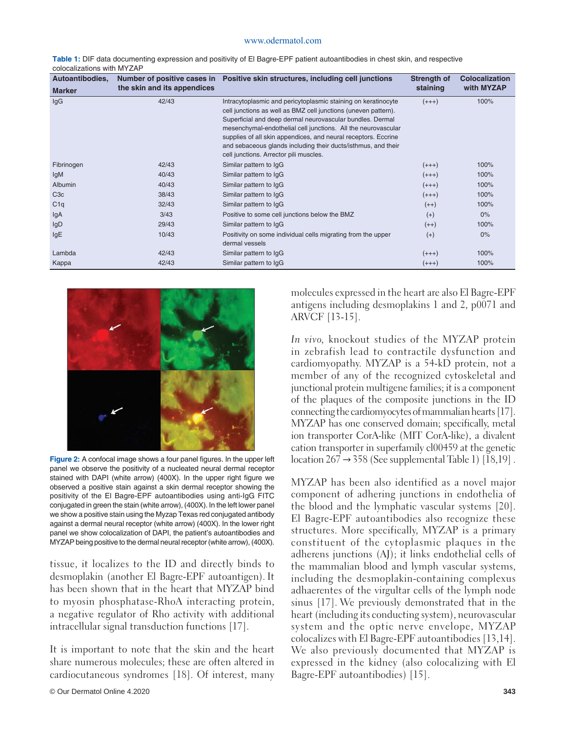| Autoantibodies,  |                             | Number of positive cases in Positive skin structures, including cell junctions                                                                                                                                                                                                                                                                                                                                                             | Strength of | <b>Colocalization</b> |
|------------------|-----------------------------|--------------------------------------------------------------------------------------------------------------------------------------------------------------------------------------------------------------------------------------------------------------------------------------------------------------------------------------------------------------------------------------------------------------------------------------------|-------------|-----------------------|
| <b>Marker</b>    | the skin and its appendices |                                                                                                                                                                                                                                                                                                                                                                                                                                            | staining    | with MYZAP            |
| lgG              | 42/43                       | Intracytoplasmic and pericytoplasmic staining on keratinocyte<br>cell junctions as well as BMZ cell junctions (uneven pattern).<br>Superficial and deep dermal neurovascular bundles. Dermal<br>mesenchymal-endothelial cell junctions. All the neurovascular<br>supplies of all skin appendices, and neural receptors. Eccrine<br>and sebaceous glands including their ducts/isthmus, and their<br>cell junctions. Arrector pili muscles. | $(+++)$     | 100%                  |
| Fibrinogen       | 42/43                       | Similar pattern to IgG                                                                                                                                                                                                                                                                                                                                                                                                                     | $(+++)$     | 100%                  |
| lgM              | 40/43                       | Similar pattern to IgG                                                                                                                                                                                                                                                                                                                                                                                                                     | $(+++)$     | 100%                  |
| <b>Albumin</b>   | 40/43                       | Similar pattern to IgG                                                                                                                                                                                                                                                                                                                                                                                                                     | $(+++)$     | 100%                  |
| C <sub>3</sub> c | 38/43                       | Similar pattern to IgG                                                                                                                                                                                                                                                                                                                                                                                                                     | $(+++)$     | 100%                  |
| C1q              | 32/43                       | Similar pattern to IgG                                                                                                                                                                                                                                                                                                                                                                                                                     | $(++)$      | 100%                  |
| lgA              | 3/43                        | Positive to some cell junctions below the BMZ                                                                                                                                                                                                                                                                                                                                                                                              | $(+)$       | $0\%$                 |
| IgD              | 29/43                       | Similar pattern to IgG                                                                                                                                                                                                                                                                                                                                                                                                                     | $(++)$      | 100%                  |
| lgE              | 10/43                       | Positivity on some individual cells migrating from the upper<br>dermal vessels                                                                                                                                                                                                                                                                                                                                                             | $(+)$       | $0\%$                 |
| Lambda           | 42/43                       | Similar pattern to IgG                                                                                                                                                                                                                                                                                                                                                                                                                     | $(+++)$     | 100%                  |
| Kappa            | 42/43                       | Similar pattern to IgG                                                                                                                                                                                                                                                                                                                                                                                                                     | $(+++)$     | 100%                  |

**Table 1:** DIF data documenting expression and positivity of El Bagre-EPF patient autoantibodies in chest skin, and respective colocalizations with MYZAP



**Figure 2:** A confocal image shows a four panel figures. In the upper left panel we observe the positivity of a nucleated neural dermal receptor stained with DAPI (white arrow) (400X). In the upper right figure we observed a positive stain against a skin dermal receptor showing the positivity of the El Bagre-EPF autoantibodies using anti-IgG FITC conjugated in green the stain (white arrow), (400X). In the left lower panel we show a positive stain using the Myzap Texas red conjugated antibody against a dermal neural receptor (white arrow) (400X). In the lower right panel we show colocalization of DAPI, the patient's autoantibodies and MYZAP being positive to the dermal neural receptor (white arrow), (400X).

tissue, it localizes to the ID and directly binds to desmoplakin (another El Bagre-EPF autoantigen). It has been shown that in the heart that MYZAP bind to myosin phosphatase-RhoA interacting protein, a negative regulator of Rho activity with additional intracellular signal transduction functions [17].

It is important to note that the skin and the heart share numerous molecules; these are often altered in cardiocutaneous syndromes [18]. Of interest, many molecules expressed in the heart are also El Bagre-EPF antigens including desmoplakins 1 and 2, p0071 and ARVCF [13-15].

*In vivo,* knockout studies of the MYZAP protein in zebrafish lead to contractile dysfunction and cardiomyopathy. MYZAP is a 54-kD protein, not a member of any of the recognized cytoskeletal and junctional protein multigene families; it is a component of the plaques of the composite junctions in the ID connecting the cardiomyocytes of mammalian hearts [17]. MYZAP has one conserved domain; specifically, metal ion transporter CorA-like (MIT CorA-like), a divalent cation transporter in superfamily cl00459 at the genetic location  $267 \rightarrow 358$  (See supplemental Table 1) [18,19].

MYZAP has been also identified as a novel major component of adhering junctions in endothelia of the blood and the lymphatic vascular systems [20]. El Bagre-EPF autoantibodies also recognize these structures. More specifically, MYZAP is a primary constituent of the cytoplasmic plaques in the adherens junctions (AJ); it links endothelial cells of the mammalian blood and lymph vascular systems, including the desmoplakin-containing complexus adhaerentes of the virgultar cells of the lymph node sinus [17]. We previously demonstrated that in the heart (including its conducting system), neurovascular system and the optic nerve envelope, MYZAP colocalizes with El Bagre-EPF autoantibodies [13,14]. We also previously documented that MYZAP is expressed in the kidney (also colocalizing with El Bagre-EPF autoantibodies) [15].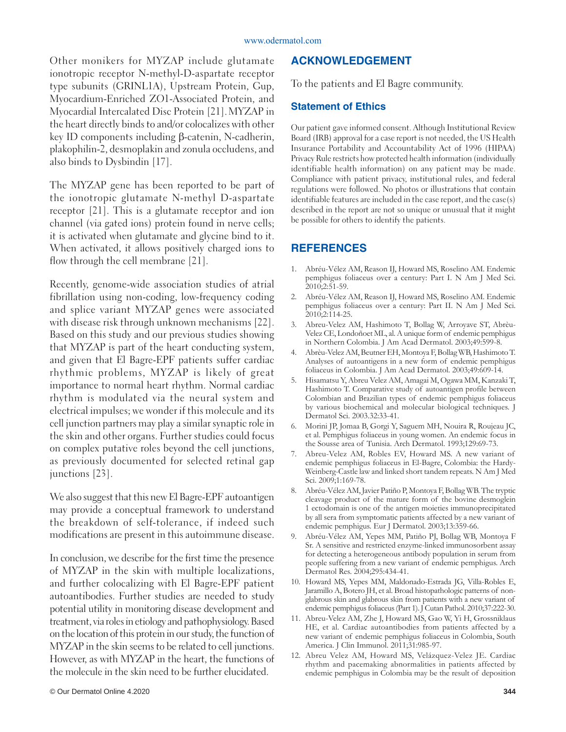#### www.odermatol.com

Other monikers for MYZAP include glutamate ionotropic receptor N-methyl-D-aspartate receptor type subunits (GRINL1A), Upstream Protein, Gup, Myocardium-Enriched ZO1-Associated Protein, and Myocardial Intercalated Disc Protein [21].MYZAP in the heart directly binds to and/or colocalizes with other key ID components including β-catenin, N-cadherin, plakophilin-2, desmoplakin and zonula occludens, and also binds to Dysbindin [17].

The MYZAP gene has been reported to be part of the ionotropic glutamate N-methyl D-aspartate receptor [21]. This is a glutamate receptor and ion channel (via gated ions) protein found in nerve cells; it is activated when glutamate and glycine bind to it. When activated, it allows positively charged ions to flow through the cell membrane [21].

Recently, genome-wide association studies of atrial fibrillation using non-coding, low-frequency coding and splice variant MYZAP genes were associated with disease risk through unknown mechanisms [22]. Based on this study and our previous studies showing that MYZAP is part of the heart conducting system, and given that El Bagre-EPF patients suffer cardiac rhythmic problems, MYZAP is likely of great importance to normal heart rhythm. Normal cardiac rhythm is modulated via the neural system and electrical impulses; we wonder if this molecule and its cell junction partners may play a similar synaptic role in the skin and other organs. Further studies could focus on complex putative roles beyond the cell junctions, as previously documented for selected retinal gap junctions [23].

We also suggest that this new El Bagre-EPF autoantigen may provide a conceptual framework to understand the breakdown of self-tolerance, if indeed such modifications are present in this autoimmune disease.

In conclusion, we describe for the first time the presence of MYZAP in the skin with multiple localizations, and further colocalizing with El Bagre-EPF patient autoantibodies. Further studies are needed to study potential utility in monitoring disease development and treatment, via roles in etiology and pathophysiology. Based on the location of this protein in our study, the function of MYZAP in the skin seems to be related to cell junctions. However, as with MYZAP in the heart, the functions of the molecule in the skin need to be further elucidated.

# **ACKNOWLEDGEMENT**

To the patients and El Bagre community.

## **Statement of Ethics**

Our patient gave informed consent. Although Institutional Review Board (IRB) approval for a case report is not needed, the US Health Insurance Portability and Accountability Act of 1996 (HIPAA) Privacy Rule restricts how protected health information (individually identifiable health information) on any patient may be made. Compliance with patient privacy, institutional rules, and federal regulations were followed. No photos or illustrations that contain identifiable features are included in the case report, and the case(s) described in the report are not so unique or unusual that it might be possible for others to identify the patients.

# **REFERENCES**

- 1. Abréu-Vélez AM, Reason IJ, Howard MS, Roselino AM. Endemic pemphigus foliaceus over a century: Part I. N Am J Med Sci. 2010;2:51-59.
- 2. Abréu-Vélez AM, Reason IJ, Howard MS, Roselino AM. Endemic pemphigus foliaceus over a century: Part II. N Am J Med Sci. 2010;2:114-25.
- 3. Abreu-Velez AM, Hashimoto T, Bollag W, Arroyave ST, Abrèu-Velez CE, Londoñoet ML, al. A unique form of endemic pemphigus in Northern Colombia. J Am Acad Dermatol. 2003;49:599-8.
- 4. Abrèu-Velez AM, Beutner EH, Montoya F, Bollag WB, Hashimoto T. Analyses of autoantigens in a new form of endemic pemphigus foliaceus in Colombia. J Am Acad Dermatol. 2003;49:609-14.
- 5. Hisamatsu Y, Abreu Velez AM, Amagai M, Ogawa MM, Kanzaki T, Hashimoto T. Comparative study of autoantigen profile between Colombian and Brazilian types of endemic pemphigus foliaceus by various biochemical and molecular biological techniques. J Dermatol Sci. 2003.32:33-41.
- 6. Morini JP, Jomaa B, Gorgi Y, Saguem MH, Nouira R, Roujeau JC, et al. Pemphigus foliaceus in young women. An endemic focus in the Sousse area of Tunisia. Arch Dermatol. 1993;129:69-73.
- 7. Abreu-Velez AM, Robles EV, Howard MS. A new variant of endemic pemphigus foliaceus in El-Bagre, Colombia: the Hardy-Weinberg-Castle law and linked short tandem repeats. N Am J Med Sci. 2009;1:169-78.
- 8. Abréu-Vélez AM, Javier Patiño P, Montoya F, Bollag WB. The tryptic cleavage product of the mature form of the bovine desmoglein 1 ectodomain is one of the antigen moieties immunoprecipitated by all sera from symptomatic patients affected by a new variant of endemic pemphigus. Eur J Dermatol. 2003;13:359-66.
- 9. Abréu-Vélez AM, Yepes MM, Patiño PJ, Bollag WB, Montoya F Sr. A sensitive and restricted enzyme-linked immunosorbent assay for detecting a heterogeneous antibody population in serum from people suffering from a new variant of endemic pemphigus. Arch Dermatol Res. 2004;295:434-41.
- 10. Howard MS, Yepes MM, Maldonado-Estrada JG, Villa-Robles E, Jaramillo A, Botero JH, et al. Broad histopathologic patterns of nonglabrous skin and glabrous skin from patients with a new variant of endemic pemphigus foliaceus (Part 1). J Cutan Pathol. 2010;37:222-30.
- 11. Abreu-Velez AM, Zhe J, Howard MS, Gao W, Yi H, Grossniklaus HE, et al. Cardiac autoantibodies from patients affected by a new variant of endemic pemphigus foliaceus in Colombia, South America. J Clin Immunol. 2011;31:985-97.
- 12. Abreu Velez AM, Howard MS, Velázquez-Velez JE. Cardiac rhythm and pacemaking abnormalities in patients affected by endemic pemphigus in Colombia may be the result of deposition